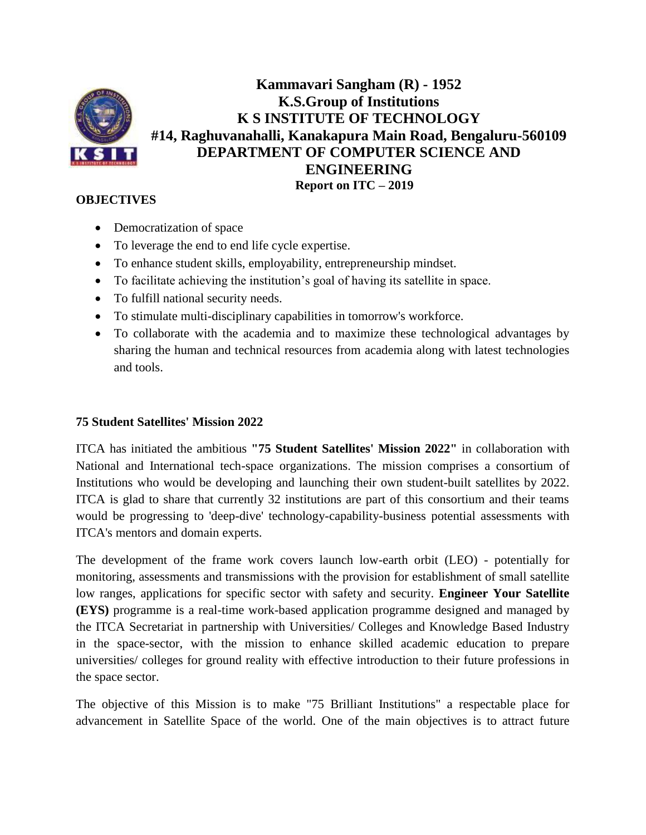

**Kammavari Sangham (R) - 1952 K.S.Group of Institutions K S INSTITUTE OF TECHNOLOGY #14, Raghuvanahalli, Kanakapura Main Road, Bengaluru-560109 DEPARTMENT OF COMPUTER SCIENCE AND ENGINEERING Report on ITC – 2019**

# **OBJECTIVES**

- Democratization of space
- To leverage the end to end life cycle expertise.
- To enhance student skills, employability, entrepreneurship mindset.
- To facilitate achieving the institution's goal of having its satellite in space.
- To fulfill national security needs.
- To stimulate multi-disciplinary capabilities in tomorrow's workforce.
- To collaborate with the academia and to maximize these technological advantages by sharing the human and technical resources from academia along with latest technologies and tools.

## **75 Student Satellites' Mission 2022**

ITCA has initiated the ambitious **"75 Student Satellites' Mission 2022"** in collaboration with National and International tech-space organizations. The mission comprises a consortium of Institutions who would be developing and launching their own student-built satellites by 2022. ITCA is glad to share that currently 32 institutions are part of this consortium and their teams would be progressing to 'deep-dive' technology-capability-business potential assessments with ITCA's mentors and domain experts.

The development of the frame work covers launch low-earth orbit (LEO) - potentially for monitoring, assessments and transmissions with the provision for establishment of small satellite low ranges, applications for specific sector with safety and security. **Engineer Your Satellite (EYS)** programme is a real-time work-based application programme designed and managed by the ITCA Secretariat in partnership with Universities/ Colleges and Knowledge Based Industry in the space-sector, with the mission to enhance skilled academic education to prepare universities/ colleges for ground reality with effective introduction to their future professions in the space sector.

The objective of this Mission is to make "75 Brilliant Institutions" a respectable place for advancement in Satellite Space of the world. One of the main objectives is to attract future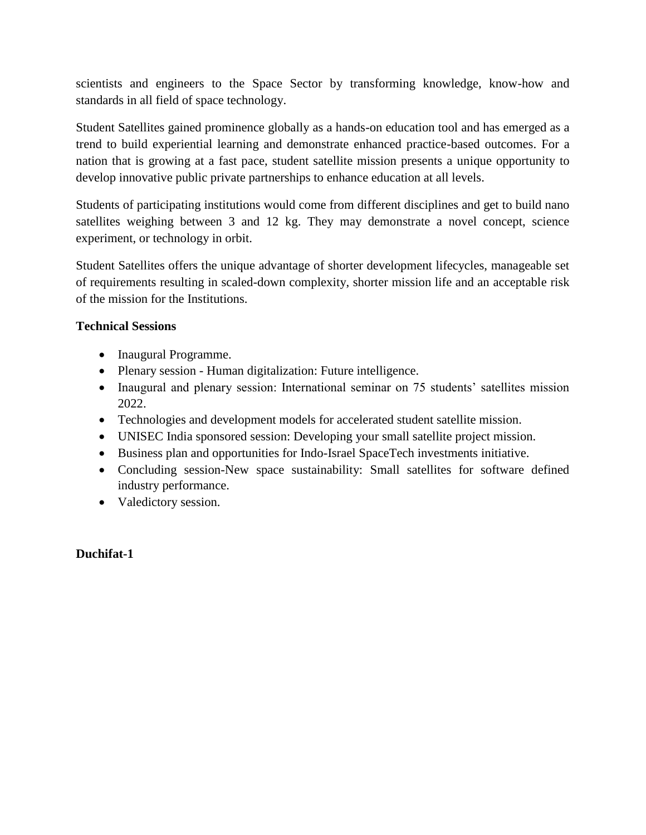scientists and engineers to the Space Sector by transforming knowledge, know-how and standards in all field of space technology.

Student Satellites gained prominence globally as a hands-on education tool and has emerged as a trend to build experiential learning and demonstrate enhanced practice-based outcomes. For a nation that is growing at a fast pace, student satellite mission presents a unique opportunity to develop innovative public private partnerships to enhance education at all levels.

Students of participating institutions would come from different disciplines and get to build nano satellites weighing between 3 and 12 kg. They may demonstrate a novel concept, science experiment, or technology in orbit.

Student Satellites offers the unique advantage of shorter development lifecycles, manageable set of requirements resulting in scaled-down complexity, shorter mission life and an acceptable risk of the mission for the Institutions.

# **Technical Sessions**

- Inaugural Programme.
- Plenary session Human digitalization: Future intelligence.
- Inaugural and plenary session: International seminar on 75 students' satellites mission 2022.
- Technologies and development models for accelerated student satellite mission.
- UNISEC India sponsored session: Developing your small satellite project mission.
- Business plan and opportunities for Indo-Israel SpaceTech investments initiative.
- Concluding session-New space sustainability: Small satellites for software defined industry performance.
- Valedictory session.

# **Duchifat-1**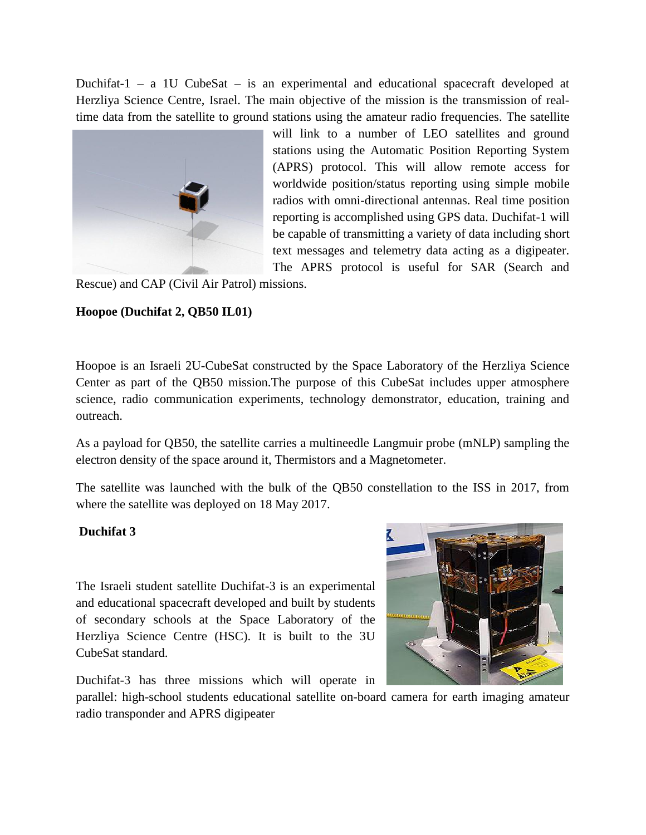Duchifat-1 – a 1U CubeSat – is an experimental and educational spacecraft developed at Herzliya Science Centre, Israel. The main objective of the mission is the transmission of realtime data from the satellite to ground stations using the amateur radio frequencies. The satellite



will link to a number of LEO satellites and ground stations using the Automatic Position Reporting System (APRS) protocol. This will allow remote access for worldwide position/status reporting using simple mobile radios with omni-directional antennas. Real time position reporting is accomplished using GPS data. Duchifat-1 will be capable of transmitting a variety of data including short text messages and telemetry data acting as a digipeater. The APRS protocol is useful for SAR (Search and

Rescue) and CAP (Civil Air Patrol) missions.

# **Hoopoe (Duchifat 2, QB50 IL01)**

Hoopoe is an Israeli 2U-CubeSat constructed by the Space Laboratory of the Herzliya Science Center as part of the QB50 mission.The purpose of this CubeSat includes upper atmosphere science, radio communication experiments, technology demonstrator, education, training and outreach.

As a payload for QB50, the satellite carries a multineedle Langmuir probe (mNLP) sampling the electron density of the space around it, Thermistors and a Magnetometer.

The satellite was launched with the bulk of the QB50 constellation to the ISS in 2017, from where the satellite was deployed on 18 May 2017.

# **Duchifat 3**

The Israeli student satellite Duchifat-3 is an experimental and educational spacecraft developed and built by students of secondary schools at the Space Laboratory of the Herzliya Science Centre (HSC). It is built to the 3U CubeSat standard.



Duchifat-3 has three missions which will operate in

parallel: high-school students educational satellite on-board camera for earth imaging amateur radio transponder and APRS digipeater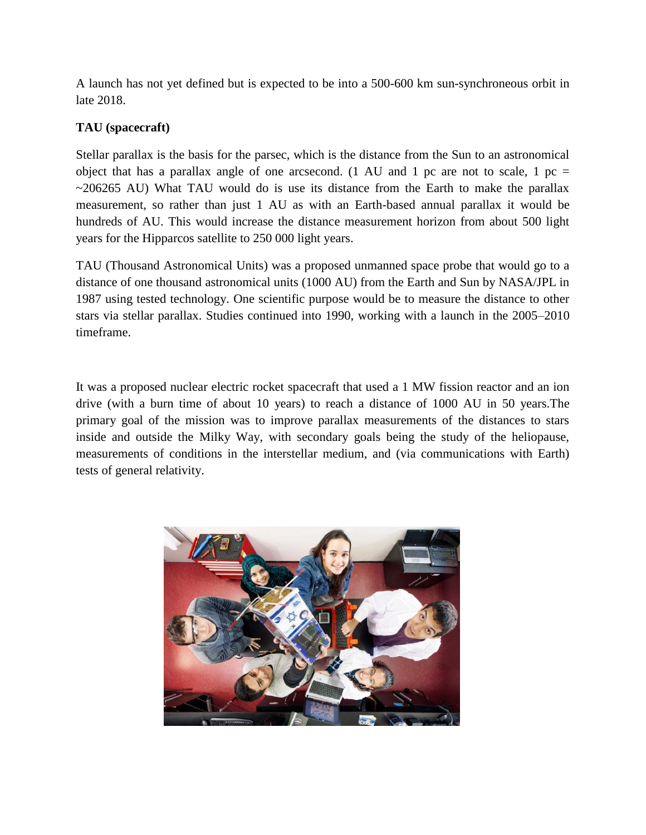A launch has not yet defined but is expected to be into a 500-600 km sun-synchroneous orbit in late 2018.

# **TAU (spacecraft)**

Stellar parallax is the basis for the parsec, which is the distance from the Sun to an astronomical object that has a parallax angle of one arcsecond. (1 AU and 1 pc are not to scale, 1 pc =  $\sim$ 206265 AU) What TAU would do is use its distance from the Earth to make the parallax measurement, so rather than just 1 AU as with an Earth-based annual parallax it would be hundreds of AU. This would increase the distance measurement horizon from about 500 light years for the Hipparcos satellite to 250 000 light years.

TAU (Thousand Astronomical Units) was a proposed unmanned space probe that would go to a distance of one thousand astronomical units (1000 AU) from the Earth and Sun by NASA/JPL in 1987 using tested technology. One scientific purpose would be to measure the distance to other stars via stellar parallax. Studies continued into 1990, working with a launch in the 2005–2010 timeframe.

It was a proposed nuclear electric rocket spacecraft that used a 1 MW fission reactor and an ion drive (with a burn time of about 10 years) to reach a distance of 1000 AU in 50 years.The primary goal of the mission was to improve parallax measurements of the distances to stars inside and outside the Milky Way, with secondary goals being the study of the heliopause, measurements of conditions in the interstellar medium, and (via communications with Earth) tests of general relativity.

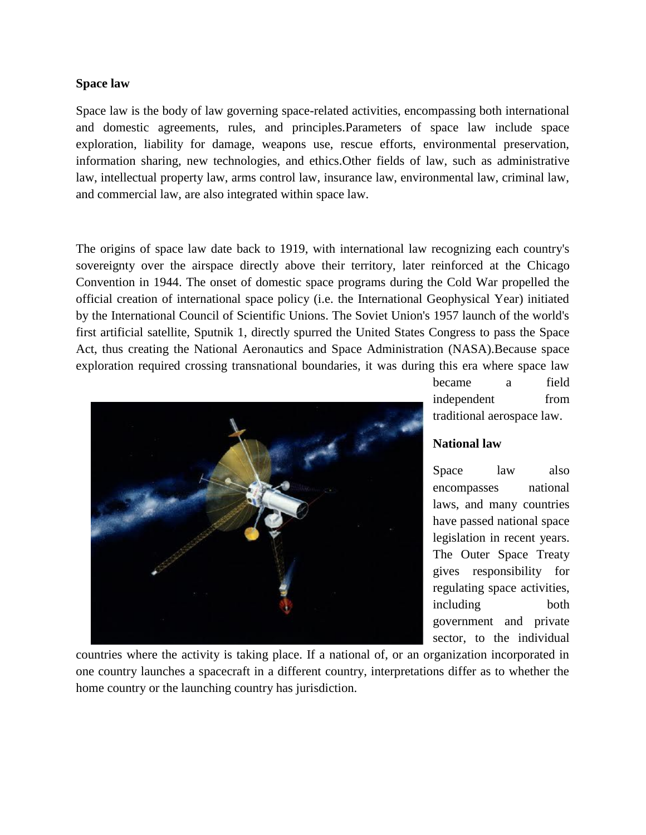### **Space law**

Space law is the body of law governing space-related activities, encompassing both international and domestic agreements, rules, and principles.Parameters of space law include space exploration, liability for damage, weapons use, rescue efforts, environmental preservation, information sharing, new technologies, and ethics.Other fields of law, such as administrative law, intellectual property law, arms control law, insurance law, environmental law, criminal law, and commercial law, are also integrated within space law.

The origins of space law date back to 1919, with international law recognizing each country's sovereignty over the airspace directly above their territory, later reinforced at the Chicago Convention in 1944. The onset of domestic space programs during the Cold War propelled the official creation of international space policy (i.e. the International Geophysical Year) initiated by the International Council of Scientific Unions. The Soviet Union's 1957 launch of the world's first artificial satellite, Sputnik 1, directly spurred the United States Congress to pass the Space Act, thus creating the National Aeronautics and Space Administration (NASA).Because space exploration required crossing transnational boundaries, it was during this era where space law



became a field independent from traditional aerospace law.

## **National law**

Space law also encompasses national laws, and many countries have passed national space legislation in recent years. The Outer Space Treaty gives responsibility for regulating space activities, including both government and private sector, to the individual

countries where the activity is taking place. If a national of, or an organization incorporated in one country launches a spacecraft in a different country, interpretations differ as to whether the home country or the launching country has jurisdiction.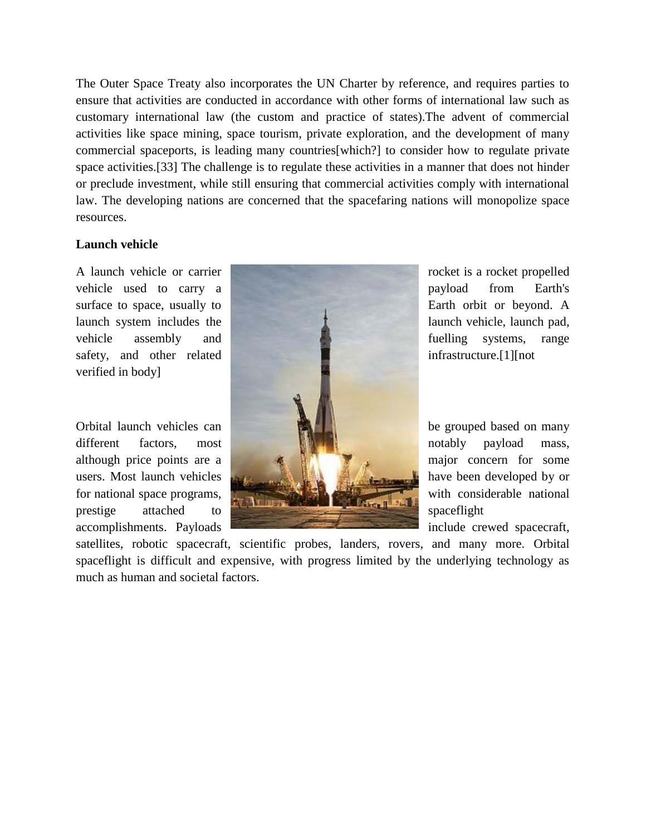The Outer Space Treaty also incorporates the UN Charter by reference, and requires parties to ensure that activities are conducted in accordance with other forms of international law such as customary international law (the custom and practice of states).The advent of commercial activities like space mining, space tourism, private exploration, and the development of many commercial spaceports, is leading many countries[which?] to consider how to regulate private space activities.[33] The challenge is to regulate these activities in a manner that does not hinder or preclude investment, while still ensuring that commercial activities comply with international law. The developing nations are concerned that the spacefaring nations will monopolize space resources.

#### **Launch vehicle**

verified in body]



satellites, robotic spacecraft, scientific probes, landers, rovers, and many more. Orbital spaceflight is difficult and expensive, with progress limited by the underlying technology as much as human and societal factors.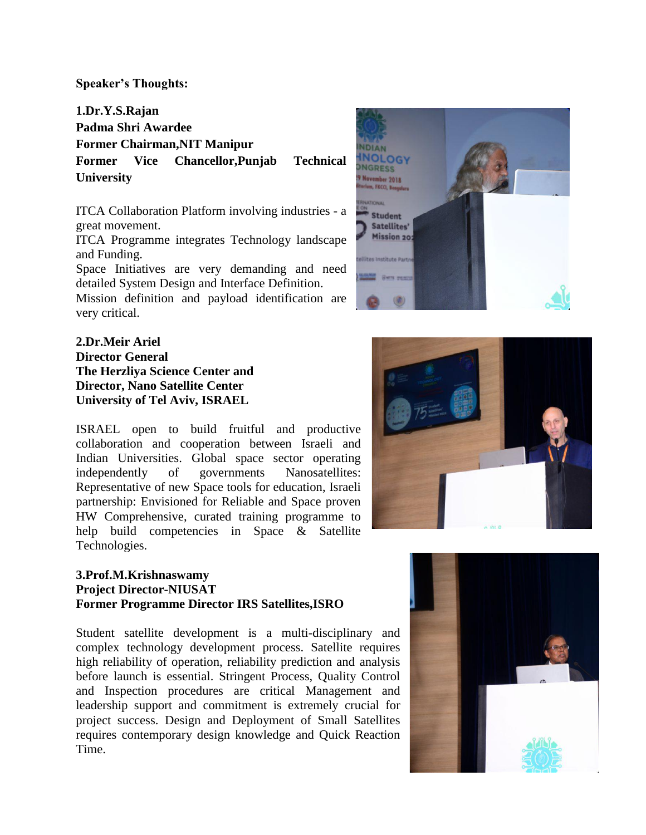### **Speaker's Thoughts:**

**1.Dr.Y.S.Rajan Padma Shri Awardee Former Chairman,NIT Manipur Former Vice Chancellor,Punjab Technical University**

ITCA Collaboration Platform involving industries - a great movement.

ITCA Programme integrates Technology landscape and Funding.

Space Initiatives are very demanding and need detailed System Design and Interface Definition.

Mission definition and payload identification are very critical.

**2.Dr.Meir Ariel Director General The Herzliya Science Center and Director, Nano Satellite Center University of Tel Aviv, ISRAEL**

ISRAEL open to build fruitful and productive collaboration and cooperation between Israeli and Indian Universities. Global space sector operating independently of governments Nanosatellites: Representative of new Space tools for education, Israeli partnership: Envisioned for Reliable and Space proven HW Comprehensive, curated training programme to help build competencies in Space & Satellite Technologies.

# **3.Prof.M.Krishnaswamy Project Director-NIUSAT Former Programme Director IRS Satellites,ISRO**

Student satellite development is a multi-disciplinary and complex technology development process. Satellite requires high reliability of operation, reliability prediction and analysis before launch is essential. Stringent Process, Quality Control and Inspection procedures are critical Management and leadership support and commitment is extremely crucial for project success. Design and Deployment of Small Satellites requires contemporary design knowledge and Quick Reaction Time.





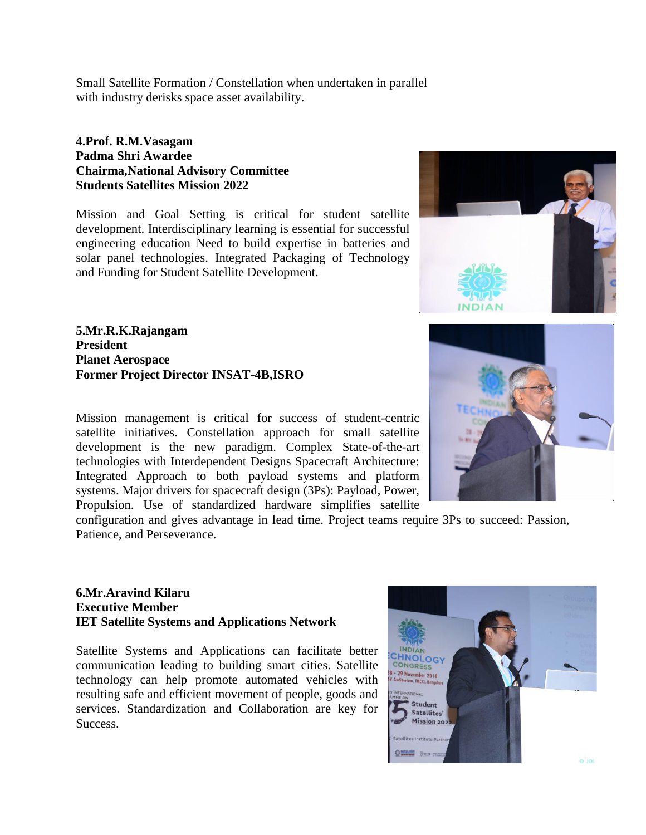Small Satellite Formation / Constellation when undertaken in parallel with industry derisks space asset availability.

## **4.Prof. R.M.Vasagam Padma Shri Awardee Chairma,National Advisory Committee Students Satellites Mission 2022**

Mission and Goal Setting is critical for student satellite development. Interdisciplinary learning is essential for successful engineering education Need to build expertise in batteries and solar panel technologies. Integrated Packaging of Technology and Funding for Student Satellite Development.

**5.Mr.R.K.Rajangam President Planet Aerospace Former Project Director INSAT-4B,ISRO**

Mission management is critical for success of student-centric satellite initiatives. Constellation approach for small satellite development is the new paradigm. Complex State-of-the-art technologies with Interdependent Designs Spacecraft Architecture: Integrated Approach to both payload systems and platform systems. Major drivers for spacecraft design (3Ps): Payload, Power, Propulsion. Use of standardized hardware simplifies satellite

configuration and gives advantage in lead time. Project teams require 3Ps to succeed: Passion, Patience, and Perseverance.

# **6.Mr.Aravind Kilaru Executive Member IET Satellite Systems and Applications Network**

Satellite Systems and Applications can facilitate better communication leading to building smart cities. Satellite technology can help promote automated vehicles with resulting safe and efficient movement of people, goods and services. Standardization and Collaboration are key for Success.



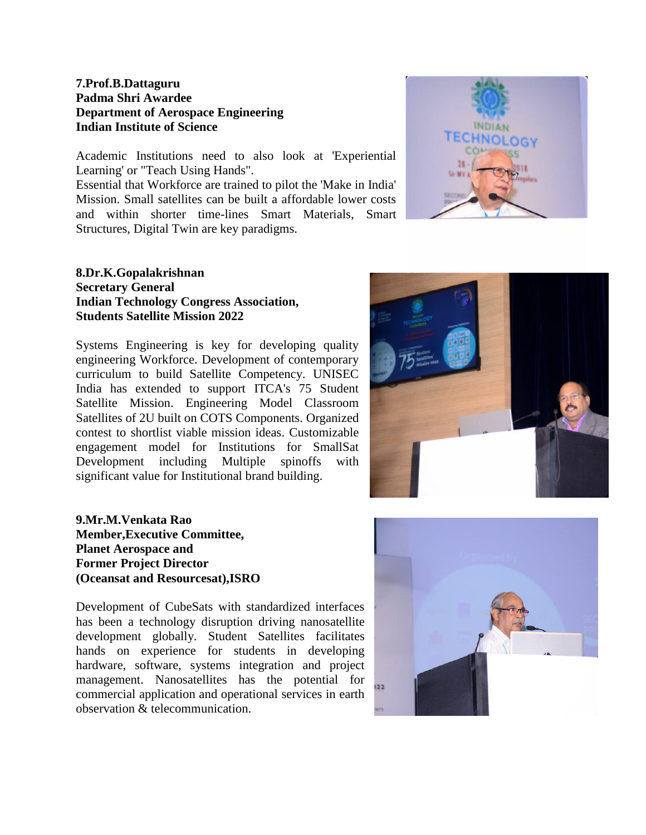# **7.Prof.B.Dattaguru Padma Shri Awardee Department of Aerospace Engineering Indian Institute of Science**

Academic Institutions need to also look at 'Experiential Learning' or "Teach Using Hands".

Essential that Workforce are trained to pilot the 'Make in India' Mission. Small satellites can be built a affordable lower costs and within shorter time-lines Smart Materials, Smart Structures, Digital Twin are key paradigms.

# **8.Dr.K.Gopalakrishnan Secretary General Indian Technology Congress Association, Students Satellite Mission 2022**

Systems Engineering is key for developing quality engineering Workforce. Development of contemporary curriculum to build Satellite Competency. UNISEC India has extended to support ITCA's 75 Student Satellite Mission. Engineering Model Classroom Satellites of 2U built on COTS Components. Organized contest to shortlist viable mission ideas. Customizable engagement model for Institutions for SmallSat Development including Multiple spinoffs with significant value for Institutional brand building.

**9.Mr.M.Venkata Rao Member,Executive Committee, Planet Aerospace and Former Project Director (Oceansat and Resourcesat),ISRO**

Development of CubeSats with standardized interfaces has been a technology disruption driving nanosatellite development globally. Student Satellites facilitates hands on experience for students in developing hardware, software, systems integration and project management. Nanosatellites has the potential for commercial application and operational services in earth observation & telecommunication.